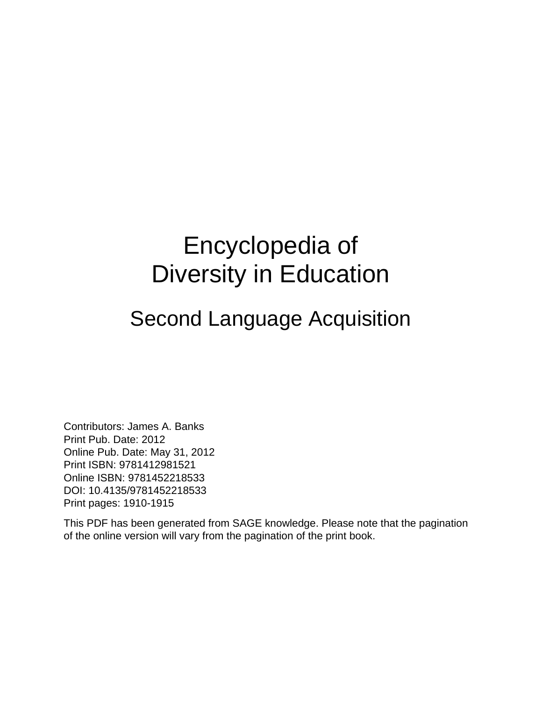# Encyclopedia of Diversity in Education

#### Second Language Acquisition

Contributors: James A. Banks Print Pub. Date: 2012 Online Pub. Date: May 31, 2012 Print ISBN: 9781412981521 Online ISBN: 9781452218533 DOI: 10.4135/9781452218533 Print pages: 1910-1915

This PDF has been generated from SAGE knowledge. Please note that the pagination of the online version will vary from the pagination of the print book.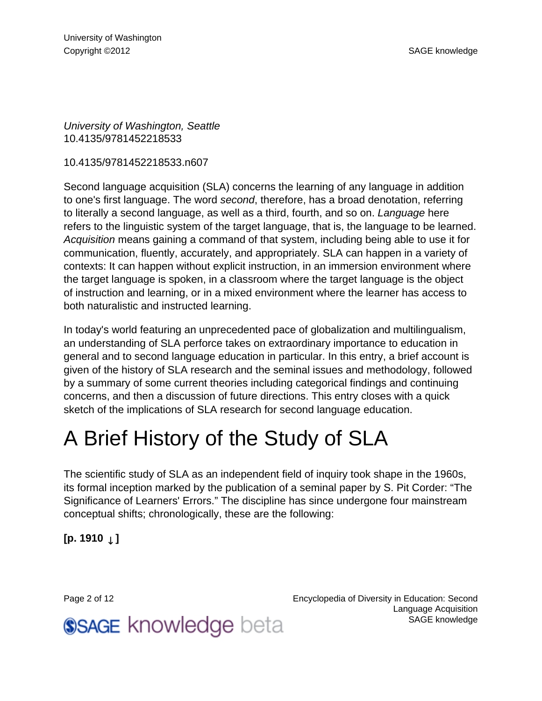University of Washington, Seattle 10.4135/9781452218533

10.4135/9781452218533.n607

Second language acquisition (SLA) concerns the learning of any language in addition to one's first language. The word second, therefore, has a broad denotation, referring to literally a second language, as well as a third, fourth, and so on. Language here refers to the linguistic system of the target language, that is, the language to be learned. Acquisition means gaining a command of that system, including being able to use it for communication, fluently, accurately, and appropriately. SLA can happen in a variety of contexts: It can happen without explicit instruction, in an immersion environment where the target language is spoken, in a classroom where the target language is the object of instruction and learning, or in a mixed environment where the learner has access to both naturalistic and instructed learning.

In today's world featuring an unprecedented pace of globalization and multilingualism, an understanding of SLA perforce takes on extraordinary importance to education in general and to second language education in particular. In this entry, a brief account is given of the history of SLA research and the seminal issues and methodology, followed by a summary of some current theories including categorical findings and continuing concerns, and then a discussion of future directions. This entry closes with a quick sketch of the implications of SLA research for second language education.

# A Brief History of the Study of SLA

The scientific study of SLA as an independent field of inquiry took shape in the 1960s, its formal inception marked by the publication of a seminal paper by S. Pit Corder: "The Significance of Learners' Errors." The discipline has since undergone four mainstream conceptual shifts; chronologically, these are the following:

**[p. 1910** ↓ **]**

**SSAGE knowledge beta** 

Page 2 of 12 Encyclopedia of Diversity in Education: Second Language Acquisition [SAGE knowledge](http://knowledge.sagepub.com)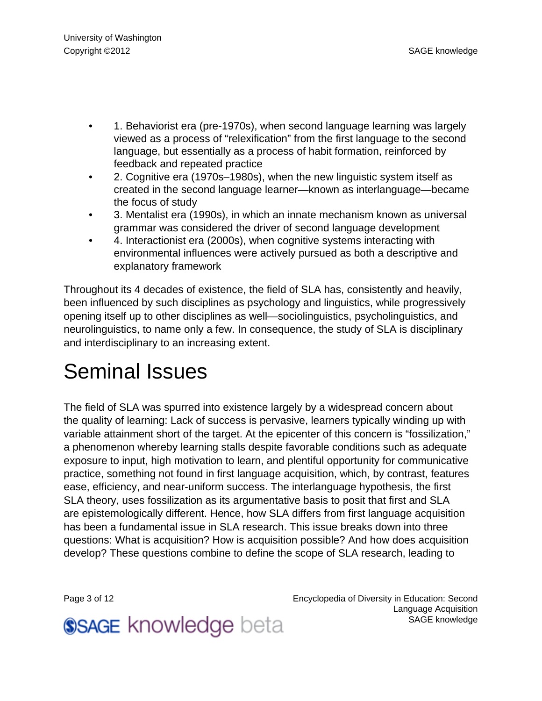- 1. Behaviorist era (pre-1970s), when second language learning was largely viewed as a process of "relexification" from the first language to the second language, but essentially as a process of habit formation, reinforced by feedback and repeated practice
- 2. Cognitive era (1970s–1980s), when the new linguistic system itself as created in the second language learner—known as interlanguage—became the focus of study
- 3. Mentalist era (1990s), in which an innate mechanism known as universal grammar was considered the driver of second language development
- 4. Interactionist era (2000s), when cognitive systems interacting with environmental influences were actively pursued as both a descriptive and explanatory framework

Throughout its 4 decades of existence, the field of SLA has, consistently and heavily, been influenced by such disciplines as psychology and linguistics, while progressively opening itself up to other disciplines as well—sociolinguistics, psycholinguistics, and neurolinguistics, to name only a few. In consequence, the study of SLA is disciplinary and interdisciplinary to an increasing extent.

## Seminal Issues

The field of SLA was spurred into existence largely by a widespread concern about the quality of learning: Lack of success is pervasive, learners typically winding up with variable attainment short of the target. At the epicenter of this concern is "fossilization," a phenomenon whereby learning stalls despite favorable conditions such as adequate exposure to input, high motivation to learn, and plentiful opportunity for communicative practice, something not found in first language acquisition, which, by contrast, features ease, efficiency, and near-uniform success. The interlanguage hypothesis, the first SLA theory, uses fossilization as its argumentative basis to posit that first and SLA are epistemologically different. Hence, how SLA differs from first language acquisition has been a fundamental issue in SLA research. This issue breaks down into three questions: What is acquisition? How is acquisition possible? And how does acquisition develop? These questions combine to define the scope of SLA research, leading to

Page 3 of 12 Encyclopedia of Diversity in Education: Second Language Acquisition [SAGE knowledge](http://knowledge.sagepub.com)

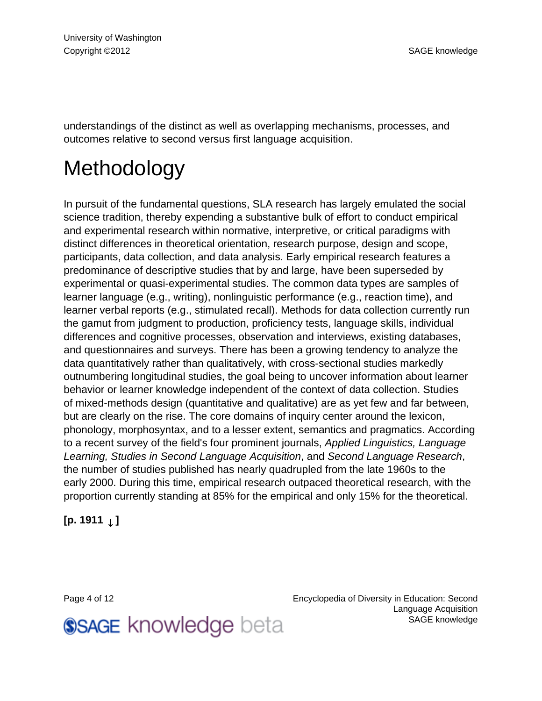understandings of the distinct as well as overlapping mechanisms, processes, and outcomes relative to second versus first language acquisition.

## Methodology

In pursuit of the fundamental questions, SLA research has largely emulated the social science tradition, thereby expending a substantive bulk of effort to conduct empirical and experimental research within normative, interpretive, or critical paradigms with distinct differences in theoretical orientation, research purpose, design and scope, participants, data collection, and data analysis. Early empirical research features a predominance of descriptive studies that by and large, have been superseded by experimental or quasi-experimental studies. The common data types are samples of learner language (e.g., writing), nonlinguistic performance (e.g., reaction time), and learner verbal reports (e.g., stimulated recall). Methods for data collection currently run the gamut from judgment to production, proficiency tests, language skills, individual differences and cognitive processes, observation and interviews, existing databases, and questionnaires and surveys. There has been a growing tendency to analyze the data quantitatively rather than qualitatively, with cross-sectional studies markedly outnumbering longitudinal studies, the goal being to uncover information about learner behavior or learner knowledge independent of the context of data collection. Studies of mixed-methods design (quantitative and qualitative) are as yet few and far between, but are clearly on the rise. The core domains of inquiry center around the lexicon, phonology, morphosyntax, and to a lesser extent, semantics and pragmatics. According to a recent survey of the field's four prominent journals, Applied Linguistics, Language Learning, Studies in Second Language Acquisition, and Second Language Research, the number of studies published has nearly quadrupled from the late 1960s to the early 2000. During this time, empirical research outpaced theoretical research, with the proportion currently standing at 85% for the empirical and only 15% for the theoretical.

**[p. 1911** ↓ **]**

Page 4 of 12 Encyclopedia of Diversity in Education: Second Language Acquisition [SAGE knowledge](http://knowledge.sagepub.com)

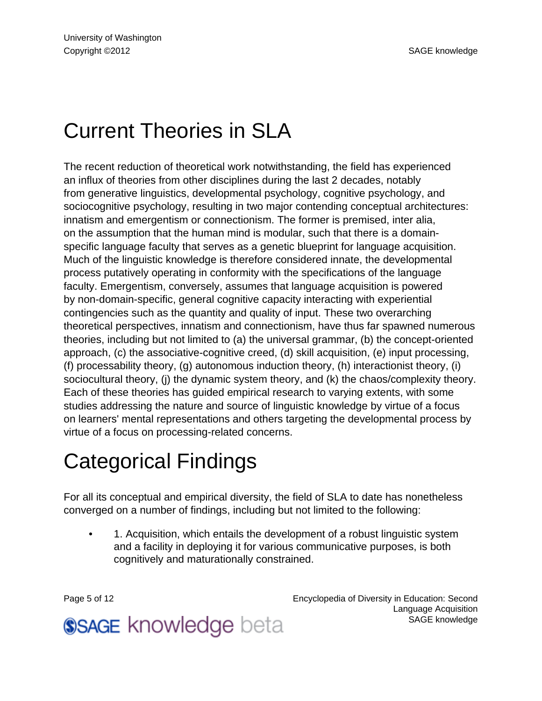## Current Theories in SLA

The recent reduction of theoretical work notwithstanding, the field has experienced an influx of theories from other disciplines during the last 2 decades, notably from generative linguistics, developmental psychology, cognitive psychology, and sociocognitive psychology, resulting in two major contending conceptual architectures: innatism and emergentism or connectionism. The former is premised, inter alia, on the assumption that the human mind is modular, such that there is a domainspecific language faculty that serves as a genetic blueprint for language acquisition. Much of the linguistic knowledge is therefore considered innate, the developmental process putatively operating in conformity with the specifications of the language faculty. Emergentism, conversely, assumes that language acquisition is powered by non-domain-specific, general cognitive capacity interacting with experiential contingencies such as the quantity and quality of input. These two overarching theoretical perspectives, innatism and connectionism, have thus far spawned numerous theories, including but not limited to (a) the universal grammar, (b) the concept-oriented approach, (c) the associative-cognitive creed, (d) skill acquisition, (e) input processing, (f) processability theory, (g) autonomous induction theory, (h) interactionist theory, (i) sociocultural theory, (j) the dynamic system theory, and (k) the chaos/complexity theory. Each of these theories has guided empirical research to varying extents, with some studies addressing the nature and source of linguistic knowledge by virtue of a focus on learners' mental representations and others targeting the developmental process by virtue of a focus on processing-related concerns.

## Categorical Findings

For all its conceptual and empirical diversity, the field of SLA to date has nonetheless converged on a number of findings, including but not limited to the following:

• 1. Acquisition, which entails the development of a robust linguistic system and a facility in deploying it for various communicative purposes, is both cognitively and maturationally constrained.

Page 5 of 12 Encyclopedia of Diversity in Education: Second Language Acquisition [SAGE knowledge](http://knowledge.sagepub.com)

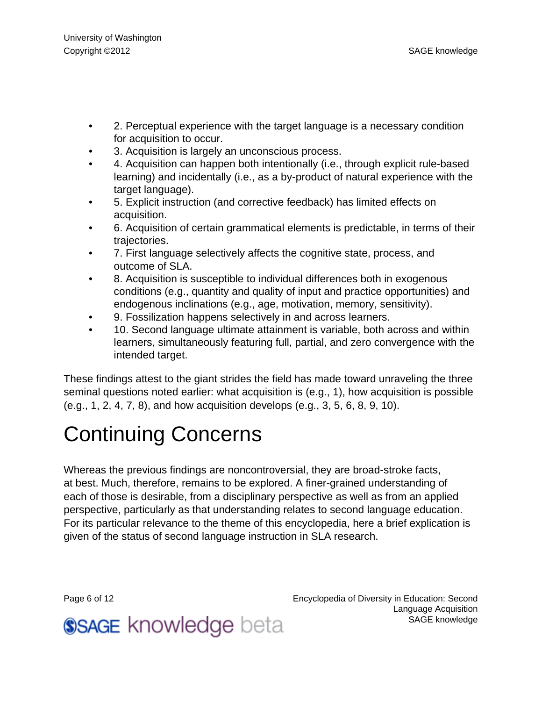- 2. Perceptual experience with the target language is a necessary condition for acquisition to occur.
- 3. Acquisition is largely an unconscious process.
- 4. Acquisition can happen both intentionally (i.e., through explicit rule-based learning) and incidentally (i.e., as a by-product of natural experience with the target language).
- 5. Explicit instruction (and corrective feedback) has limited effects on acquisition.
- 6. Acquisition of certain grammatical elements is predictable, in terms of their trajectories.
- 7. First language selectively affects the cognitive state, process, and outcome of SLA.
- 8. Acquisition is susceptible to individual differences both in exogenous conditions (e.g., quantity and quality of input and practice opportunities) and endogenous inclinations (e.g., age, motivation, memory, sensitivity).
- 9. Fossilization happens selectively in and across learners.
- 10. Second language ultimate attainment is variable, both across and within learners, simultaneously featuring full, partial, and zero convergence with the intended target.

These findings attest to the giant strides the field has made toward unraveling the three seminal questions noted earlier: what acquisition is (e.g., 1), how acquisition is possible (e.g., 1, 2, 4, 7, 8), and how acquisition develops (e.g., 3, 5, 6, 8, 9, 10).

## Continuing Concerns

Whereas the previous findings are noncontroversial, they are broad-stroke facts, at best. Much, therefore, remains to be explored. A finer-grained understanding of each of those is desirable, from a disciplinary perspective as well as from an applied perspective, particularly as that understanding relates to second language education. For its particular relevance to the theme of this encyclopedia, here a brief explication is given of the status of second language instruction in SLA research.

Page 6 of 12 Encyclopedia of Diversity in Education: Second Language Acquisition [SAGE knowledge](http://knowledge.sagepub.com)

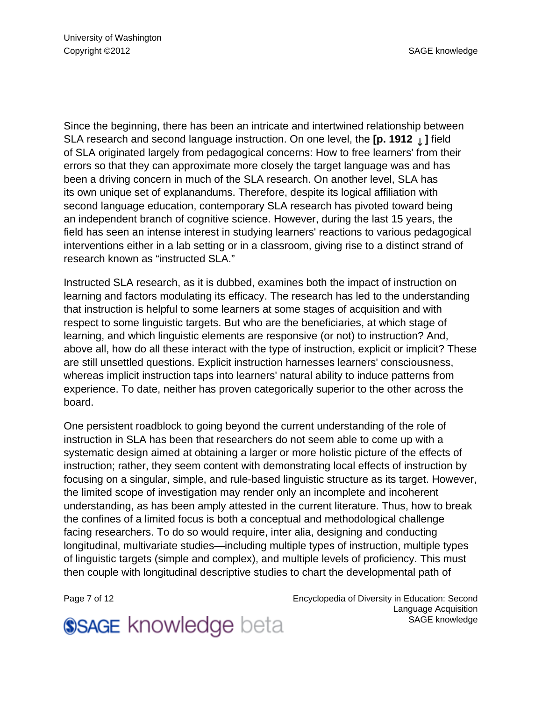Since the beginning, there has been an intricate and intertwined relationship between SLA research and second language instruction. On one level, the **[p. 1912** ↓ **]** field of SLA originated largely from pedagogical concerns: How to free learners' from their errors so that they can approximate more closely the target language was and has been a driving concern in much of the SLA research. On another level, SLA has its own unique set of explanandums. Therefore, despite its logical affiliation with second language education, contemporary SLA research has pivoted toward being an independent branch of cognitive science. However, during the last 15 years, the field has seen an intense interest in studying learners' reactions to various pedagogical interventions either in a lab setting or in a classroom, giving rise to a distinct strand of research known as "instructed SLA."

Instructed SLA research, as it is dubbed, examines both the impact of instruction on learning and factors modulating its efficacy. The research has led to the understanding that instruction is helpful to some learners at some stages of acquisition and with respect to some linguistic targets. But who are the beneficiaries, at which stage of learning, and which linguistic elements are responsive (or not) to instruction? And, above all, how do all these interact with the type of instruction, explicit or implicit? These are still unsettled questions. Explicit instruction harnesses learners' consciousness, whereas implicit instruction taps into learners' natural ability to induce patterns from experience. To date, neither has proven categorically superior to the other across the board.

One persistent roadblock to going beyond the current understanding of the role of instruction in SLA has been that researchers do not seem able to come up with a systematic design aimed at obtaining a larger or more holistic picture of the effects of instruction; rather, they seem content with demonstrating local effects of instruction by focusing on a singular, simple, and rule-based linguistic structure as its target. However, the limited scope of investigation may render only an incomplete and incoherent understanding, as has been amply attested in the current literature. Thus, how to break the confines of a limited focus is both a conceptual and methodological challenge facing researchers. To do so would require, inter alia, designing and conducting longitudinal, multivariate studies—including multiple types of instruction, multiple types of linguistic targets (simple and complex), and multiple levels of proficiency. This must then couple with longitudinal descriptive studies to chart the developmental path of

Page 7 of 12 Encyclopedia of Diversity in Education: Second Language Acquisition [SAGE knowledge](http://knowledge.sagepub.com)

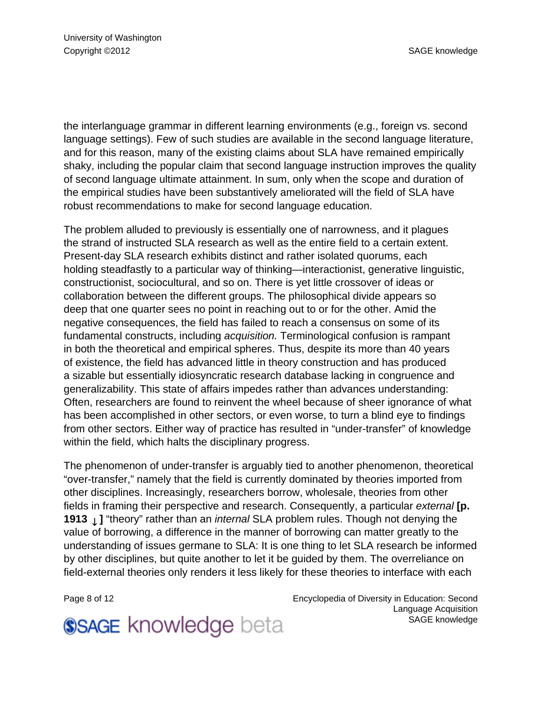the interlanguage grammar in different learning environments (e.g., foreign vs. second language settings). Few of such studies are available in the second language literature, and for this reason, many of the existing claims about SLA have remained empirically shaky, including the popular claim that second language instruction improves the quality of second language ultimate attainment. In sum, only when the scope and duration of the empirical studies have been substantively ameliorated will the field of SLA have robust recommendations to make for second language education.

The problem alluded to previously is essentially one of narrowness, and it plagues the strand of instructed SLA research as well as the entire field to a certain extent. Present-day SLA research exhibits distinct and rather isolated quorums, each holding steadfastly to a particular way of thinking—interactionist, generative linguistic, constructionist, sociocultural, and so on. There is yet little crossover of ideas or collaboration between the different groups. The philosophical divide appears so deep that one quarter sees no point in reaching out to or for the other. Amid the negative consequences, the field has failed to reach a consensus on some of its fundamental constructs, including acquisition. Terminological confusion is rampant in both the theoretical and empirical spheres. Thus, despite its more than 40 years of existence, the field has advanced little in theory construction and has produced a sizable but essentially idiosyncratic research database lacking in congruence and generalizability. This state of affairs impedes rather than advances understanding: Often, researchers are found to reinvent the wheel because of sheer ignorance of what has been accomplished in other sectors, or even worse, to turn a blind eye to findings from other sectors. Either way of practice has resulted in "under-transfer" of knowledge within the field, which halts the disciplinary progress.

The phenomenon of under-transfer is arguably tied to another phenomenon, theoretical "over-transfer," namely that the field is currently dominated by theories imported from other disciplines. Increasingly, researchers borrow, wholesale, theories from other fields in framing their perspective and research. Consequently, a particular external **[p. 1913** *L* ] "theory" rather than an *internal* SLA problem rules. Though not denying the value of borrowing, a difference in the manner of borrowing can matter greatly to the understanding of issues germane to SLA: It is one thing to let SLA research be informed by other disciplines, but quite another to let it be guided by them. The overreliance on field-external theories only renders it less likely for these theories to interface with each

Page 8 of 12 Encyclopedia of Diversity in Education: Second Language Acquisition [SAGE knowledge](http://knowledge.sagepub.com)

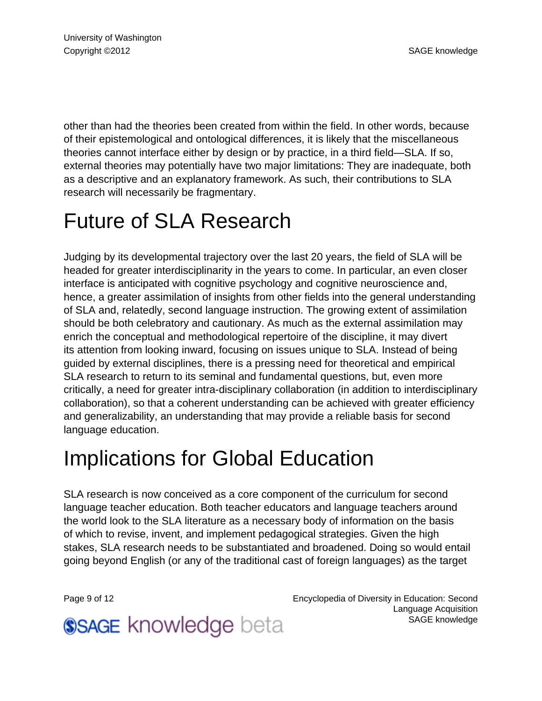other than had the theories been created from within the field. In other words, because of their epistemological and ontological differences, it is likely that the miscellaneous theories cannot interface either by design or by practice, in a third field—SLA. If so, external theories may potentially have two major limitations: They are inadequate, both as a descriptive and an explanatory framework. As such, their contributions to SLA research will necessarily be fragmentary.

#### Future of SLA Research

Judging by its developmental trajectory over the last 20 years, the field of SLA will be headed for greater interdisciplinarity in the years to come. In particular, an even closer interface is anticipated with cognitive psychology and cognitive neuroscience and, hence, a greater assimilation of insights from other fields into the general understanding of SLA and, relatedly, second language instruction. The growing extent of assimilation should be both celebratory and cautionary. As much as the external assimilation may enrich the conceptual and methodological repertoire of the discipline, it may divert its attention from looking inward, focusing on issues unique to SLA. Instead of being guided by external disciplines, there is a pressing need for theoretical and empirical SLA research to return to its seminal and fundamental questions, but, even more critically, a need for greater intra-disciplinary collaboration (in addition to interdisciplinary collaboration), so that a coherent understanding can be achieved with greater efficiency and generalizability, an understanding that may provide a reliable basis for second language education.

#### Implications for Global Education

SLA research is now conceived as a core component of the curriculum for second language teacher education. Both teacher educators and language teachers around the world look to the SLA literature as a necessary body of information on the basis of which to revise, invent, and implement pedagogical strategies. Given the high stakes, SLA research needs to be substantiated and broadened. Doing so would entail going beyond English (or any of the traditional cast of foreign languages) as the target

Page 9 of 12 Encyclopedia of Diversity in Education: Second Language Acquisition [SAGE knowledge](http://knowledge.sagepub.com)

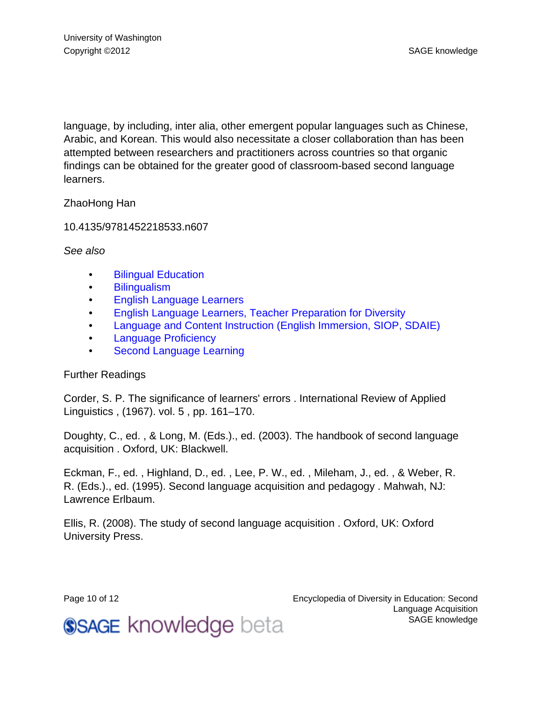language, by including, inter alia, other emergent popular languages such as Chinese, Arabic, and Korean. This would also necessitate a closer collaboration than has been attempted between researchers and practitioners across countries so that organic findings can be obtained for the greater good of classroom-based second language learners.

#### ZhaoHong Han

10.4135/9781452218533.n607

See also

- [Bilingual Education](http://knowledge.sagepub.com/view/diversityineducation/n73.xml#n73)
- [Bilingualism](http://knowledge.sagepub.com/view/diversityineducation/n77.xml#n77)
- [English Language Learners](http://knowledge.sagepub.com/view/diversityineducation/n248.xml#n248)
- [English Language Learners, Teacher Preparation for Diversity](http://knowledge.sagepub.com/view/diversityineducation/n251.xml#n251)
- [Language and Content Instruction \(English Immersion, SIOP, SDAIE\)](http://knowledge.sagepub.com/view/diversityineducation/n416.xml#n416)
- [Language Proficiency](http://knowledge.sagepub.com/view/diversityineducation/n421.xml#n421)
- **[Second Language Learning](http://knowledge.sagepub.com/view/diversityineducation/n608.xml#n608)**

#### Further Readings

Corder, S. P. The significance of learners' errors . International Review of Applied Linguistics , (1967). vol. 5 , pp. 161–170.

Doughty, C., ed. , & Long, M. (Eds.)., ed. (2003). The handbook of second language acquisition . Oxford, UK: Blackwell.

Eckman, F., ed. , Highland, D., ed. , Lee, P. W., ed. , Mileham, J., ed. , & Weber, R. R. (Eds.)., ed. (1995). Second language acquisition and pedagogy . Mahwah, NJ: Lawrence Erlbaum.

Ellis, R. (2008). The study of second language acquisition . Oxford, UK: Oxford University Press.

Page 10 of 12 Encyclopedia of Diversity in Education: Second Language Acquisition [SAGE knowledge](http://knowledge.sagepub.com)

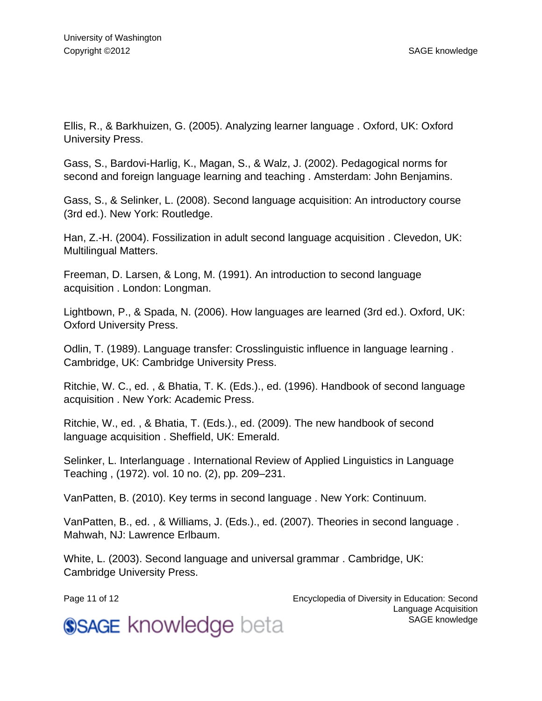Ellis, R., & Barkhuizen, G. (2005). Analyzing learner language . Oxford, UK: Oxford University Press.

Gass, S., Bardovi-Harlig, K., Magan, S., & Walz, J. (2002). Pedagogical norms for second and foreign language learning and teaching . Amsterdam: John Benjamins.

Gass, S., & Selinker, L. (2008). Second language acquisition: An introductory course (3rd ed.). New York: Routledge.

Han, Z.-H. (2004). Fossilization in adult second language acquisition . Clevedon, UK: Multilingual Matters.

Freeman, D. Larsen, & Long, M. (1991). An introduction to second language acquisition . London: Longman.

Lightbown, P., & Spada, N. (2006). How languages are learned (3rd ed.). Oxford, UK: Oxford University Press.

Odlin, T. (1989). Language transfer: Crosslinguistic influence in language learning . Cambridge, UK: Cambridge University Press.

Ritchie, W. C., ed. , & Bhatia, T. K. (Eds.)., ed. (1996). Handbook of second language acquisition . New York: Academic Press.

Ritchie, W., ed. , & Bhatia, T. (Eds.)., ed. (2009). The new handbook of second language acquisition . Sheffield, UK: Emerald.

Selinker, L. Interlanguage . International Review of Applied Linguistics in Language Teaching , (1972). vol. 10 no. (2), pp. 209–231.

VanPatten, B. (2010). Key terms in second language . New York: Continuum.

VanPatten, B., ed. , & Williams, J. (Eds.)., ed. (2007). Theories in second language . Mahwah, NJ: Lawrence Erlbaum.

White, L. (2003). Second language and universal grammar . Cambridge, UK: Cambridge University Press.

Page 11 of 12 Encyclopedia of Diversity in Education: Second Language Acquisition [SAGE knowledge](http://knowledge.sagepub.com)